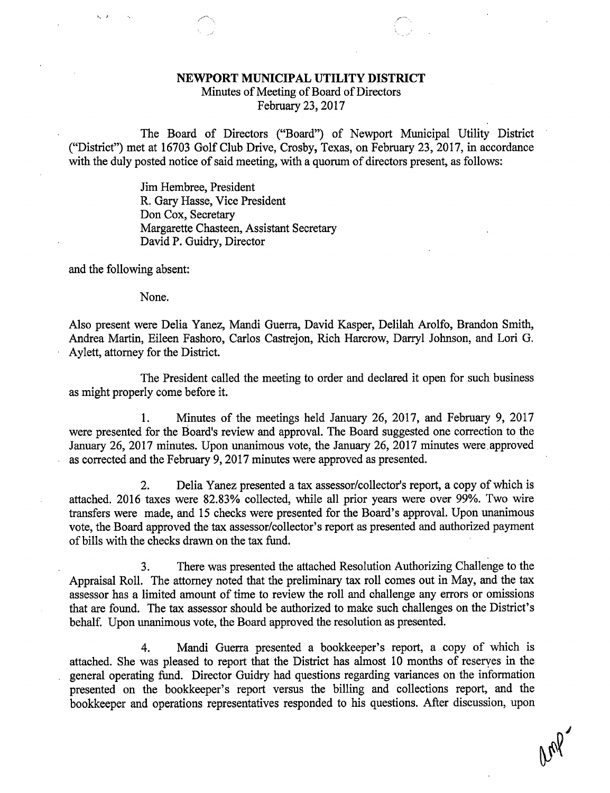## NEWPORT MUNICIPAL UTILITY DISTRICT

Minutes of Meeting of Board of Directors February 23, 2017

The Board of Directors ("Board") of Newport Municipal Utility District ("District") met at 16703 Golf Club Drive, Crosby, Texas, on February 23, 2017, in accordance with the duly posted notice of said meeting, with a quorum of directors present, as follows:

> Jim Hembree, President R. Gary Hasse, Vice President Don Cox, Secretary Margarette Chasteen, Assistant Secretary David P. Guidry, Director

and the following absent:

 $\sim$   $\rightarrow$ 

None.

Also present were Delia Yanez, Mandi Guerra, David Kasper, Delilah Arolfo, Brandon Smith, Andrea Martin, Eileen Fashoro, Carlos Castrejon, Rich Harcrow, Darryl Johnson, and Lori G. Aylett, attorney for the District.

The President called the meeting to order and declared it open for such business as might properly come before it.

1. Minutes of the meetings held January 26, 2017, and February 9, 2017 were presented for the Board's review and approval. The Board suggested one correction to the January 26, 2017 minutes. Upon unanimous vote, the January 26, 2017 minutes were.approved as corrected and the February 9, 2017 minutes were approved as presented.

2. Delia Yanez presented a tax assessor/collector's report, a copy of which is attached. 2016 taxes were 82.83% collected, while all prior years were over 99%. Two wire transfers were made, and 15 checks were presented for the Board's approval. Upon unanimous vote, the Board approved the tax assessor/collector's report as presented and authorized payment of bills with the checks drawn on the tax fund.

3. There was presented the attached Resolution Authorizing Challenge to the Appraisal Roll. The attorney noted that the preliminary tax roll comes out in May, and the tax assessor has a limited amount of time to review the roll and challenge any errors or omissions that are found. The tax assessor should be authorized to make such challenges on the District's behalf. Upon unanimous vote, the Board approved the resolution as presented.

4. Mandi Guerra presented a bookkeeper's report, a copy of which is attached. She was pleased to report that the District has almost 10 months of reserves in the general operating fund. Director Guidry had questions regarding variances on the information presented on the bookkeeper's report versus the billing and collections report, and the bookkeeper and operations representatives responded to his questions. After discussion, upon

age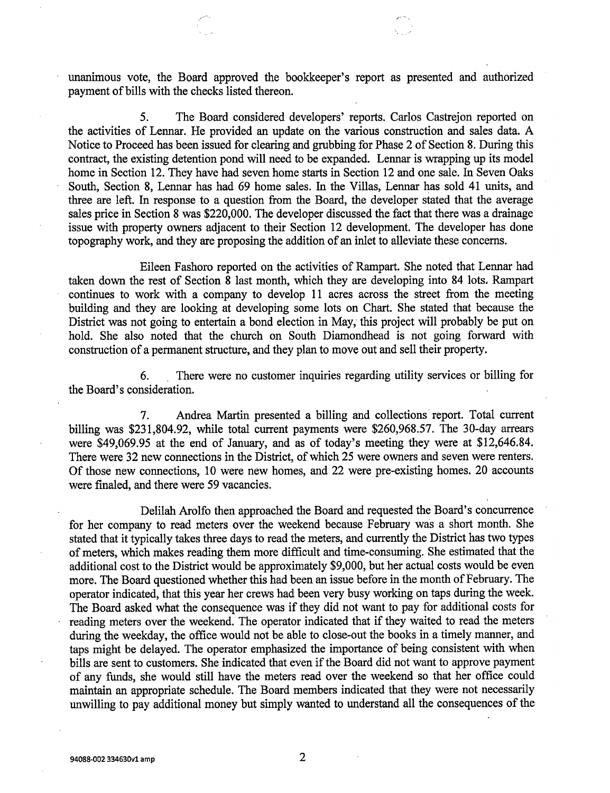unanimous vote, the Board approved the bookkeeper's report as presented and authorized payment of bills with the checks listed thereon.

5. The Board considered developers' reports. Carlos Castrejon reported on the activities of Lennar. He provided an update on the various construction and sales data. A Notice to Proceed has been issued for clearing and grubbing for Phase 2 of Section 8. During this contract, the existing detention pond will need to be expanded. Lennar is wrapping up its model home in Section 12. They have had seven home starts in Section 12 and one sale. In Seven Oaks South, Section 8, Lennar has had 69 home sales. In the Villas, Lennar has sold 41 units, and three are left. In response to a question from the Board, the developer stated that the average sales price in Section 8 was \$220,000. The developer discussed the fact that there was a drainage issue with property owners adjacent to their Section 12 development. The developer has done topography work, and they are proposing the addition of an inlet to alleviate these concerns.

Eileen Fashoro reported on the activities of Rampart. She noted that Lennar had taken down the rest of Section 8 last month, which they are developing into 84 lots, Rampart continues to work with a company to develop 11 acres across the street from the meeting building and they are looking at developing some lots on Chart. She stated that because the District was not going to entertain a bond election in May, this project will probably be put on hold. She also noted that the church on South Diamondhead is not going forward with construction of a permanent structure, and they plan to move out and sell their property.

6. There were no customer inquiries regarding utility services or billing for the Board's consideration.

7. Andrea Martin presented a billing and collections report. Total current billing was \$231,804.92, while total current payments were \$260,968.57. The 30-day arrears were \$49,069.95 at the end of January, and as of today's meeting they were at \$12,646.84. There were 32 new connections in the District, of which 25 were owners and seven were renters. Of those new connections, 10 were new homes, and 22 were pre-existing homes. 20 accounts were finaled, and there were 59 vacancies.

Delilah Arolfo then approached the Board and requested the Board's concurrence for her company to read meters over the weekend because February was a short month. She stated that it typically takes three days to read the meters, and currently the District has two types of meters, which makes reading them more difficult and time-consuming. She estimated that the additional cost to the District would be approximately \$9,000, but her actual costs would be even more. The Board questioned whether this had been an issue before in the month of February. The operator indicated, that this year her crews had been very busy working on taps during the week. The Board asked what the consequence was if they did not want to pay for additional costs for reading meters over the weekend. The operator indicated that if they waited to read the meters during the weekday, the office would not be able to close-out the books in a timely manner, and taps might be delayed. The operator emphasized the importance of being consistent with when bills are sent to customers. She indicated that even if the Board did not want to approve payment of any funds, she would still have the meters read over the weekend so that her office could maintain an appropriate schedule. The Board members indicated that they were not necessarily unwilling to pay additional money but simply wanted to understand all the consequences of the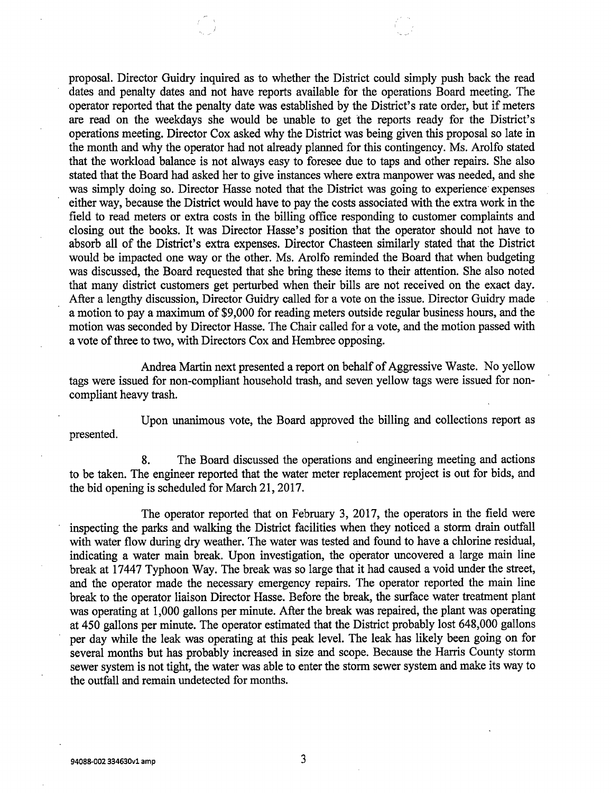proposal. Director Guidry inquired as to whether the District could simply push back the read dates and penalty dates and not have reports available for the operations Board meeting. The operator reported that the penalty date was established by the District's rate order, but if meters are read on the weekdays she would be unable to get the reports ready for the District's operations meeting. Director Cox asked why the District was being given this proposal so late in the month and why the operator had not already planned for this contingency. Ms. Arolfo stated that the workload balance is not always easy to foresee due to taps and other repairs. She also stated that the Board had asked her to give instances where extra manpower was needed, and she was simply doing so. Director Hasse noted that the District was going to experience' expenses either way, because the District would have to pay the costs associated with the extra work in the field to read meters or extra costs in the billing office responding to customer complaints and closing out the books. It was Director Hasse's position that the operator should not have to absorb all of the District's extra expenses. Director Chasteen similarly stated that the District would be impacted one way or the other. Ms. Arolfo reminded the Board that when budgeting was discussed, the Board requested that she bring these items to their attention. She also noted that many district customers get perturbed when their bills are not received on the exact day. After a lengthy discussion, Director Guidry called for a vote on the issue. Director Guidry made a motion to pay a maximum of \$9,000 for reading meters outside regular business hours, and the motion was seconded by Director Hasse. The Chair called for a vote, and the motion passed with a vote of three to two, with Directors Cox and Hembree opposing.

Andrea Martin next presented a report on behalf of Aggressive Waste. No yellow tags were issued for non-compliant household trash, and seven yellow tags were issued for noncompliant heavy trash.

presented.

Upon unanimous vote, the Board approved the billing and collections report as

8. The Board discussed the operations and engineering meeting and actions to be taken. The engineer reported that the water meter replacement project is out for bids, and the bid opening is scheduled for March 21, 2017.

The operator reported that on February 3, 2017, the operators in the field were inspecting the parks and walking the District facilities when they noticed a storm drain outfall with water flow during dry weather. The water was tested and found to have a chlorine residual, indicating a water main break. Upon investigation, the operator uncovered a large main line break at 17447 Typhoon Way. The break was so large that it had caused a void under the street, and the operator made the necessary emergency repairs. The operator reported the main line break to the operator liaison Director Hasse. Before the break, the surface water treatment plant was operating at 1,000 gallons per minute. After the break was repaired, the plant was operating at 450 gallons per minute. The operator estimated that the District probably lost 648,000 gallons per day while the leak was operating at this peak level. The leak has likely been going on for several months but has probably increased in size and scope. Because the Harris County storm sewer system is not tight, the water was able to enter the storm sewer system and make its way to the outfall and remain undetected for months.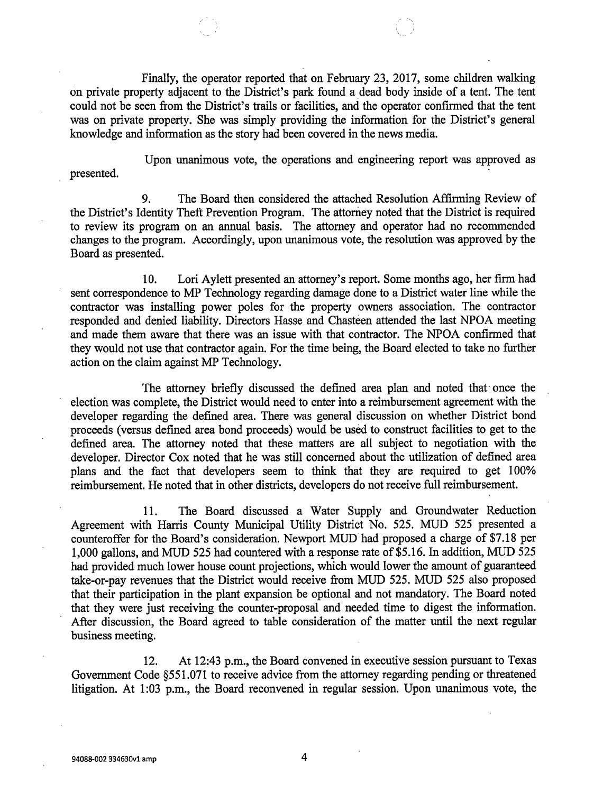Finally, the operator reported that on February 23, 2017, some children walking on private property adjacent to the District's park found a dead body inside of a tent. The tent could not be seen from the District's trails or facilities, and the operator confirmed that the tent was on private property. She was simply providing the information for the District's general knowledge and information as the story had been covered in the news media.

Upon unanimous vote, the operations and engineering report was approved as presented.

9. The Board then considered the attached Resolution Affirming Review of the District's Identity Theft Prevention Program. The attorney noted that the District is required to review its program on an annual basis. The attorney and operator had no recommended changes to the program. Accordingly, upon unanimous vote, the resolution was approved by the Board as presented.

10. Lori Aylett presented an attorney's report. Some months ago, her firm had sent correspondence to MP Technology regarding damage done to a District water line while the contractor was installing power poles for the property owners association. The contractor responded and denied liability. Directors Hasse and Chasteen attended the last NPOA meeting and made them aware that there was an issue with that contractor. The NPOA confirmed that they would not use that contractor again. For the time being, the Board elected to take no further action on the claim against MP Technology.

The attorney briefly discussed the defined area plan and noted that once the election was complete, the District would need to enter into a reimbursement agreement with the developer regarding the defined area. There was general discussion on whether District bond proceeds (versus defined area bond proceeds) would be used to construct facilities to get to the defined area. The attorney noted that these matters are all subject to negotiation with the developer. Director Cox noted that he was still concerned about the utilization of defined area plans and the fact that developers seem to think that they are required to get 100% reimbursement. He noted that in other districts, developers do not receive full reimbursement.

11. The Board discussed a Water Supply and Groundwater Reduction Agreement with Harris County Municipal Utility District No. 525. MUD 525 presented a counteroffer for the Board's consideration. Newport MUD had proposed a charge of \$7.18 per 1,000 gallons, and MUD 525 had countered with a response rate of \$5.16. In addition, MUD 525 had provided much lower house count projections, which would lower the amount of guaranteed take-or-pay revenues that the District would receive from MUD 525. MUD 525 also proposed that their participation in the plant expansion be optional and not mandatory. The Board noted that they were just receiving the counter-proposal and needed time to digest the information. After discussion, the Board agreed to table consideration of the matter until the next regular business meeting.

12. At 12:43 p.m., the Board convened in executive session pursuant to Texas Government Code §551.071 to receive advice from the attorney regarding pending or threatened litigation. At 1:03 p.m., the Board reconvened in regular session. Upon unanimous vote, the